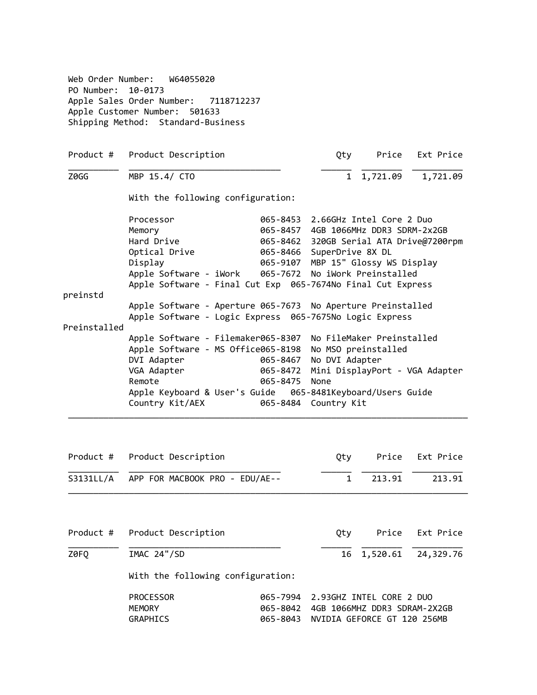|              | Product # Product Description                                                                                          |          |                           | Qty Price                               | Ext Price           |  |
|--------------|------------------------------------------------------------------------------------------------------------------------|----------|---------------------------|-----------------------------------------|---------------------|--|
| Z0GG         | MBP 15.4/ CTO                                                                                                          |          | $\mathbf{1}$              | 1,721.09                                | 1,721.09            |  |
|              | With the following configuration:                                                                                      |          |                           |                                         |                     |  |
|              | Processor                                                                                                              |          |                           | 065-8453 2.66GHz Intel Core 2 Duo       |                     |  |
|              | Memory                                                                                                                 |          |                           | 065-8457 4GB 1066MHz DDR3 SDRM-2x2GB    |                     |  |
|              | Hard Drive                                                                                                             |          |                           | 065-8462 320GB Serial ATA Drive@7200rpm |                     |  |
|              | Optical Drive                                                                                                          |          | 065-8466 SuperDrive 8X DL |                                         |                     |  |
|              | Display                                                                                                                |          |                           | 065-9107 MBP 15" Glossy WS Display      |                     |  |
|              | Apple Software - iWork                                                                                                 |          |                           | 065-7672 No iWork Preinstalled          |                     |  |
|              | Apple Software - Final Cut Exp 065-7674No Final Cut Express                                                            |          |                           |                                         |                     |  |
| preinstd     |                                                                                                                        |          |                           |                                         |                     |  |
|              | Apple Software - Aperture 065-7673 No Aperture Preinstalled<br>Apple Software - Logic Express 065-7675No Logic Express |          |                           |                                         |                     |  |
| Preinstalled |                                                                                                                        |          |                           |                                         |                     |  |
|              | Apple Software - Filemaker065-8307                                                                                     |          |                           | No FileMaker Preinstalled               |                     |  |
|              | Apple Software - MS Office065-8198 No MSO preinstalled                                                                 |          |                           |                                         |                     |  |
|              | DVI Adapter                                                                                                            | 065-8467 | No DVI Adapter            |                                         |                     |  |
|              | VGA Adapter                                                                                                            | 065-8472 |                           | Mini DisplayPort - VGA Adapter          |                     |  |
|              |                                                                                                                        |          |                           |                                         |                     |  |
|              |                                                                                                                        |          |                           |                                         |                     |  |
|              | Remote                                                                                                                 | 065-8475 | None                      |                                         |                     |  |
|              | Country Kit/AEX                                                                                                        | 065-8484 | Country Kit               |                                         |                     |  |
|              |                                                                                                                        |          |                           |                                         |                     |  |
| Product #    | Product Description                                                                                                    |          | Qty                       | Price                                   |                     |  |
|              | S3131LL/A APP FOR MACBOOK PRO - EDU/AE--                                                                               |          | $\mathbf{1}$              | 213.91                                  | Ext Price<br>213.91 |  |
|              |                                                                                                                        |          |                           |                                         |                     |  |
| Product #    | Product Description                                                                                                    |          | Qty                       | Price                                   | Ext Price           |  |

| PROCESSOR     | 065-7994 2.93GHZ INTEL CORE 2 DUO    |
|---------------|--------------------------------------|
| <b>MEMORY</b> |                                      |
| GRAPHICS      | 065-8043 NVIDIA GEFORCE GT 120 256MB |